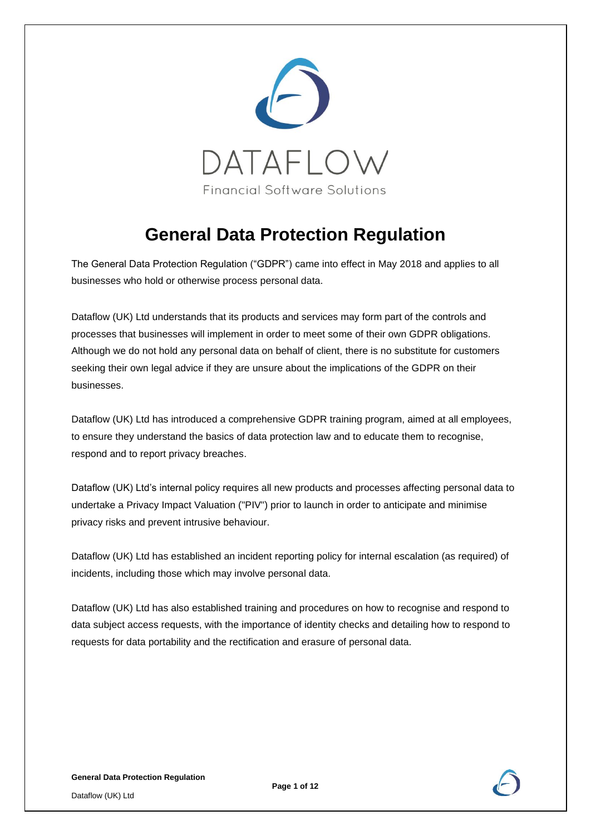

# **General Data Protection Regulation**

The General Data Protection Regulation ("GDPR") came into effect in May 2018 and applies to all businesses who hold or otherwise process personal data.

Dataflow (UK) Ltd understands that its products and services may form part of the controls and processes that businesses will implement in order to meet some of their own GDPR obligations. Although we do not hold any personal data on behalf of client, there is no substitute for customers seeking their own legal advice if they are unsure about the implications of the GDPR on their businesses.

Dataflow (UK) Ltd has introduced a comprehensive GDPR training program, aimed at all employees, to ensure they understand the basics of data protection law and to educate them to recognise, respond and to report privacy breaches.

Dataflow (UK) Ltd's internal policy requires all new products and processes affecting personal data to undertake a Privacy Impact Valuation ("PIV") prior to launch in order to anticipate and minimise privacy risks and prevent intrusive behaviour.

Dataflow (UK) Ltd has established an incident reporting policy for internal escalation (as required) of incidents, including those which may involve personal data.

Dataflow (UK) Ltd has also established training and procedures on how to recognise and respond to data subject access requests, with the importance of identity checks and detailing how to respond to requests for data portability and the rectification and erasure of personal data.



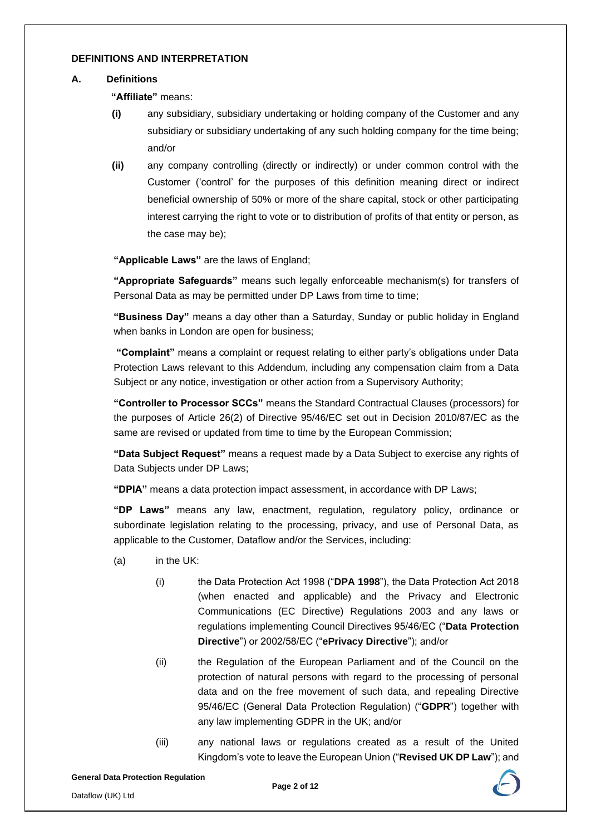#### **DEFINITIONS AND INTERPRETATION**

#### **A. Definitions**

**"Affiliate"** means:

- **(i)** any subsidiary, subsidiary undertaking or holding company of the Customer and any subsidiary or subsidiary undertaking of any such holding company for the time being; and/or
- **(ii)** any company controlling (directly or indirectly) or under common control with the Customer ('control' for the purposes of this definition meaning direct or indirect beneficial ownership of 50% or more of the share capital, stock or other participating interest carrying the right to vote or to distribution of profits of that entity or person, as the case may be);

**"Applicable Laws"** are the laws of England;

**"Appropriate Safeguards"** means such legally enforceable mechanism(s) for transfers of Personal Data as may be permitted under DP Laws from time to time;

**"Business Day"** means a day other than a Saturday, Sunday or public holiday in England when banks in London are open for business;

**"Complaint"** means a complaint or request relating to either party's obligations under Data Protection Laws relevant to this Addendum, including any compensation claim from a Data Subject or any notice, investigation or other action from a Supervisory Authority;

**"Controller to Processor SCCs"** means the Standard Contractual Clauses (processors) for the purposes of Article 26(2) of Directive 95/46/EC set out in Decision 2010/87/EC as the same are revised or updated from time to time by the European Commission;

**"Data Subject Request"** means a request made by a Data Subject to exercise any rights of Data Subjects under DP Laws;

**"DPIA"** means a data protection impact assessment, in accordance with DP Laws;

**"DP Laws"** means any law, enactment, regulation, regulatory policy, ordinance or subordinate legislation relating to the processing, privacy, and use of Personal Data, as applicable to the Customer, Dataflow and/or the Services, including:

- (a) in the UK:
	- (i) the Data Protection Act 1998 ("**DPA 1998**"), the Data Protection Act 2018 (when enacted and applicable) and the Privacy and Electronic Communications (EC Directive) Regulations 2003 and any laws or regulations implementing Council Directives 95/46/EC ("**Data Protection Directive**") or 2002/58/EC ("**ePrivacy Directive**"); and/or
	- (ii) the Regulation of the European Parliament and of the Council on the protection of natural persons with regard to the processing of personal data and on the free movement of such data, and repealing Directive 95/46/EC (General Data Protection Regulation) ("**GDPR**") together with any law implementing GDPR in the UK; and/or
	- (iii) any national laws or regulations created as a result of the United Kingdom's vote to leave the European Union ("**Revised UK DP Law**"); and

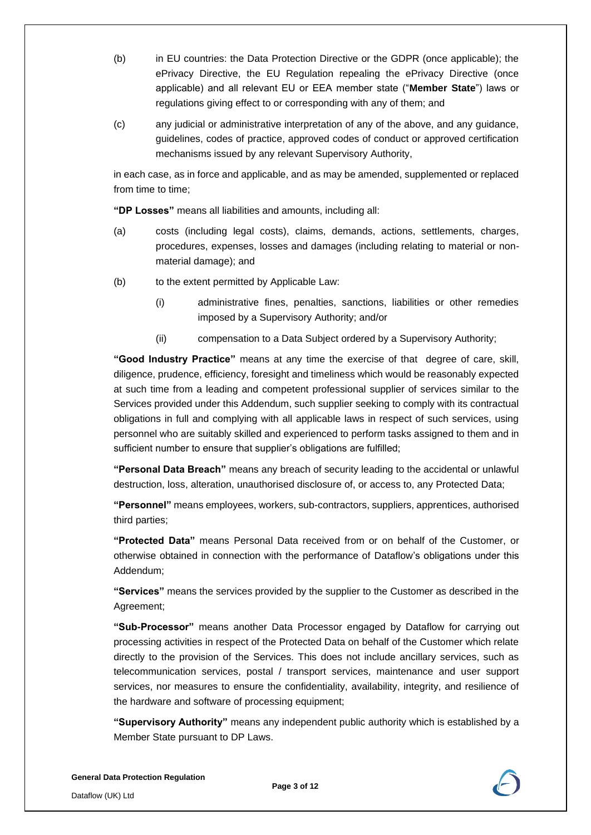- (b) in EU countries: the Data Protection Directive or the GDPR (once applicable); the ePrivacy Directive, the EU Regulation repealing the ePrivacy Directive (once applicable) and all relevant EU or EEA member state ("**Member State**") laws or regulations giving effect to or corresponding with any of them; and
- (c) any judicial or administrative interpretation of any of the above, and any guidance, guidelines, codes of practice, approved codes of conduct or approved certification mechanisms issued by any relevant Supervisory Authority,

in each case, as in force and applicable, and as may be amended, supplemented or replaced from time to time;

**"DP Losses"** means all liabilities and amounts, including all:

- (a) costs (including legal costs), claims, demands, actions, settlements, charges, procedures, expenses, losses and damages (including relating to material or nonmaterial damage); and
- (b) to the extent permitted by Applicable Law:
	- (i) administrative fines, penalties, sanctions, liabilities or other remedies imposed by a Supervisory Authority; and/or
	- (ii) compensation to a Data Subject ordered by a Supervisory Authority;

**"Good Industry Practice"** means at any time the exercise of that degree of care, skill, diligence, prudence, efficiency, foresight and timeliness which would be reasonably expected at such time from a leading and competent professional supplier of services similar to the Services provided under this Addendum, such supplier seeking to comply with its contractual obligations in full and complying with all applicable laws in respect of such services, using personnel who are suitably skilled and experienced to perform tasks assigned to them and in sufficient number to ensure that supplier's obligations are fulfilled;

**"Personal Data Breach"** means any breach of security leading to the accidental or unlawful destruction, loss, alteration, unauthorised disclosure of, or access to, any Protected Data;

**"Personnel"** means employees, workers, sub-contractors, suppliers, apprentices, authorised third parties;

**"Protected Data"** means Personal Data received from or on behalf of the Customer, or otherwise obtained in connection with the performance of Dataflow's obligations under this Addendum;

**"Services"** means the services provided by the supplier to the Customer as described in the Agreement;

**"Sub-Processor"** means another Data Processor engaged by Dataflow for carrying out processing activities in respect of the Protected Data on behalf of the Customer which relate directly to the provision of the Services. This does not include ancillary services, such as telecommunication services, postal / transport services, maintenance and user support services, nor measures to ensure the confidentiality, availability, integrity, and resilience of the hardware and software of processing equipment;

**"Supervisory Authority"** means any independent public authority which is established by a Member State pursuant to DP Laws.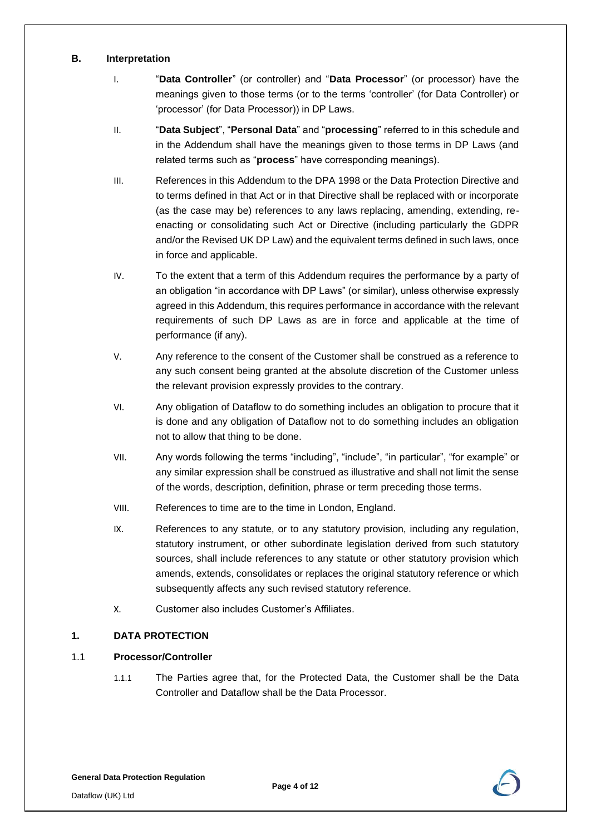### **B. Interpretation**

- I. "**Data Controller**" (or controller) and "**Data Processor**" (or processor) have the meanings given to those terms (or to the terms 'controller' (for Data Controller) or 'processor' (for Data Processor)) in DP Laws.
- II. "**Data Subject**", "**Personal Data**" and "**processing**" referred to in this schedule and in the Addendum shall have the meanings given to those terms in DP Laws (and related terms such as "**process**" have corresponding meanings).
- III. References in this Addendum to the DPA 1998 or the Data Protection Directive and to terms defined in that Act or in that Directive shall be replaced with or incorporate (as the case may be) references to any laws replacing, amending, extending, reenacting or consolidating such Act or Directive (including particularly the GDPR and/or the Revised UK DP Law) and the equivalent terms defined in such laws, once in force and applicable.
- IV. To the extent that a term of this Addendum requires the performance by a party of an obligation "in accordance with DP Laws" (or similar), unless otherwise expressly agreed in this Addendum, this requires performance in accordance with the relevant requirements of such DP Laws as are in force and applicable at the time of performance (if any).
- V. Any reference to the consent of the Customer shall be construed as a reference to any such consent being granted at the absolute discretion of the Customer unless the relevant provision expressly provides to the contrary.
- VI. Any obligation of Dataflow to do something includes an obligation to procure that it is done and any obligation of Dataflow not to do something includes an obligation not to allow that thing to be done.
- VII. Any words following the terms "including", "include", "in particular", "for example" or any similar expression shall be construed as illustrative and shall not limit the sense of the words, description, definition, phrase or term preceding those terms.
- VIII. References to time are to the time in London, England.
- IX. References to any statute, or to any statutory provision, including any regulation, statutory instrument, or other subordinate legislation derived from such statutory sources, shall include references to any statute or other statutory provision which amends, extends, consolidates or replaces the original statutory reference or which subsequently affects any such revised statutory reference.
- X. Customer also includes Customer's Affiliates.

# **1. DATA PROTECTION**

# 1.1 **Processor/Controller**

1.1.1 The Parties agree that, for the Protected Data, the Customer shall be the Data Controller and Dataflow shall be the Data Processor.

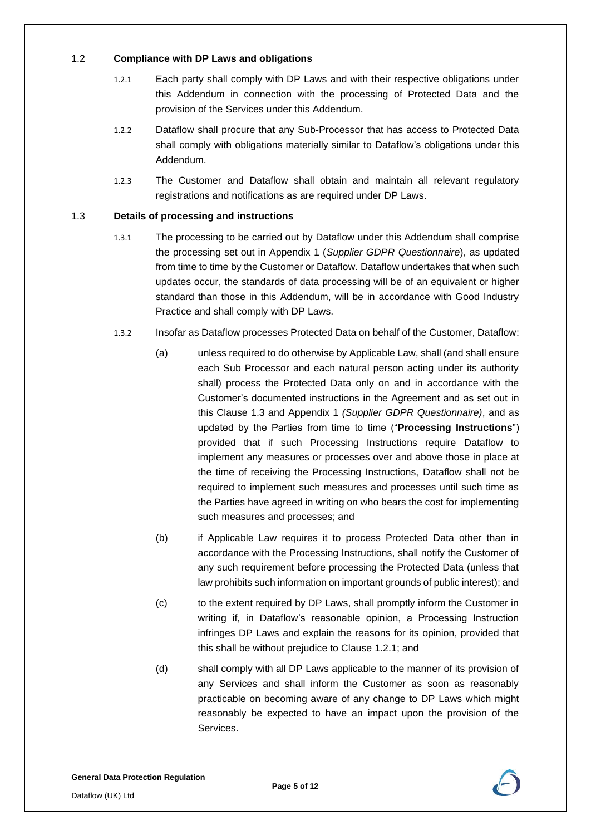# 1.2 **Compliance with DP Laws and obligations**

- 1.2.1 Each party shall comply with DP Laws and with their respective obligations under this Addendum in connection with the processing of Protected Data and the provision of the Services under this Addendum.
- 1.2.2 Dataflow shall procure that any Sub-Processor that has access to Protected Data shall comply with obligations materially similar to Dataflow's obligations under this Addendum.
- 1.2.3 The Customer and Dataflow shall obtain and maintain all relevant regulatory registrations and notifications as are required under DP Laws.

# 1.3 **Details of processing and instructions**

- 1.3.1 The processing to be carried out by Dataflow under this Addendum shall comprise the processing set out in Appendix 1 (*Supplier GDPR Questionnaire*), as updated from time to time by the Customer or Dataflow. Dataflow undertakes that when such updates occur, the standards of data processing will be of an equivalent or higher standard than those in this Addendum, will be in accordance with Good Industry Practice and shall comply with DP Laws.
- 1.3.2 Insofar as Dataflow processes Protected Data on behalf of the Customer, Dataflow:
	- (a) unless required to do otherwise by Applicable Law, shall (and shall ensure each Sub Processor and each natural person acting under its authority shall) process the Protected Data only on and in accordance with the Customer's documented instructions in the Agreement and as set out in this Clause 1.3 and Appendix 1 *(Supplier GDPR Questionnaire)*, and as updated by the Parties from time to time ("**Processing Instructions**") provided that if such Processing Instructions require Dataflow to implement any measures or processes over and above those in place at the time of receiving the Processing Instructions, Dataflow shall not be required to implement such measures and processes until such time as the Parties have agreed in writing on who bears the cost for implementing such measures and processes; and
	- (b) if Applicable Law requires it to process Protected Data other than in accordance with the Processing Instructions, shall notify the Customer of any such requirement before processing the Protected Data (unless that law prohibits such information on important grounds of public interest); and
	- (c) to the extent required by DP Laws, shall promptly inform the Customer in writing if, in Dataflow's reasonable opinion, a Processing Instruction infringes DP Laws and explain the reasons for its opinion, provided that this shall be without prejudice to Clause 1.2.1; and
	- (d) shall comply with all DP Laws applicable to the manner of its provision of any Services and shall inform the Customer as soon as reasonably practicable on becoming aware of any change to DP Laws which might reasonably be expected to have an impact upon the provision of the Services.

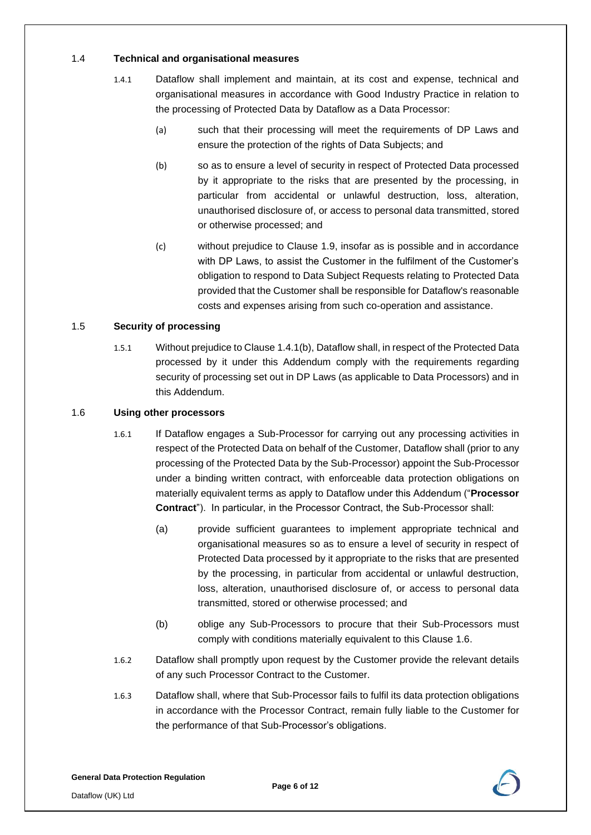# 1.4 **Technical and organisational measures**

- 1.4.1 Dataflow shall implement and maintain, at its cost and expense, technical and organisational measures in accordance with Good Industry Practice in relation to the processing of Protected Data by Dataflow as a Data Processor:
	- (a) such that their processing will meet the requirements of DP Laws and ensure the protection of the rights of Data Subjects; and
	- (b) so as to ensure a level of security in respect of Protected Data processed by it appropriate to the risks that are presented by the processing, in particular from accidental or unlawful destruction, loss, alteration, unauthorised disclosure of, or access to personal data transmitted, stored or otherwise processed; and
	- (c) without prejudice to Clause 1.9, insofar as is possible and in accordance with DP Laws, to assist the Customer in the fulfilment of the Customer's obligation to respond to Data Subject Requests relating to Protected Data provided that the Customer shall be responsible for Dataflow's reasonable costs and expenses arising from such co-operation and assistance.

# 1.5 **Security of processing**

1.5.1 Without prejudice to Clause 1.4.1(b), Dataflow shall, in respect of the Protected Data processed by it under this Addendum comply with the requirements regarding security of processing set out in DP Laws (as applicable to Data Processors) and in this Addendum.

#### 1.6 **Using other processors**

- 1.6.1 If Dataflow engages a Sub-Processor for carrying out any processing activities in respect of the Protected Data on behalf of the Customer, Dataflow shall (prior to any processing of the Protected Data by the Sub-Processor) appoint the Sub-Processor under a binding written contract, with enforceable data protection obligations on materially equivalent terms as apply to Dataflow under this Addendum ("**Processor Contract**"). In particular, in the Processor Contract, the Sub-Processor shall:
	- (a) provide sufficient guarantees to implement appropriate technical and organisational measures so as to ensure a level of security in respect of Protected Data processed by it appropriate to the risks that are presented by the processing, in particular from accidental or unlawful destruction, loss, alteration, unauthorised disclosure of, or access to personal data transmitted, stored or otherwise processed; and
	- (b) oblige any Sub-Processors to procure that their Sub-Processors must comply with conditions materially equivalent to this Clause 1.6.
- 1.6.2 Dataflow shall promptly upon request by the Customer provide the relevant details of any such Processor Contract to the Customer.
- 1.6.3 Dataflow shall, where that Sub-Processor fails to fulfil its data protection obligations in accordance with the Processor Contract, remain fully liable to the Customer for the performance of that Sub-Processor's obligations.

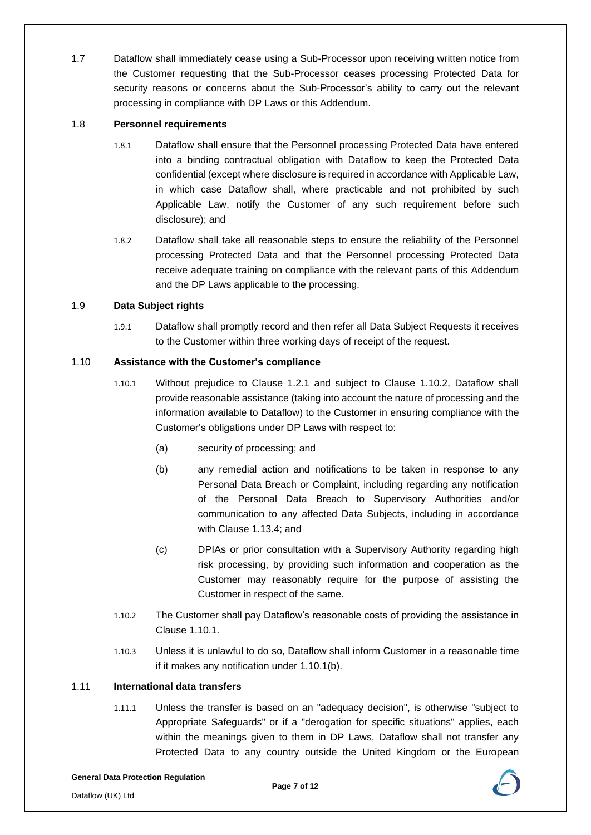1.7 Dataflow shall immediately cease using a Sub-Processor upon receiving written notice from the Customer requesting that the Sub-Processor ceases processing Protected Data for security reasons or concerns about the Sub-Processor's ability to carry out the relevant processing in compliance with DP Laws or this Addendum.

### 1.8 **Personnel requirements**

- 1.8.1 Dataflow shall ensure that the Personnel processing Protected Data have entered into a binding contractual obligation with Dataflow to keep the Protected Data confidential (except where disclosure is required in accordance with Applicable Law, in which case Dataflow shall, where practicable and not prohibited by such Applicable Law, notify the Customer of any such requirement before such disclosure); and
- 1.8.2 Dataflow shall take all reasonable steps to ensure the reliability of the Personnel processing Protected Data and that the Personnel processing Protected Data receive adequate training on compliance with the relevant parts of this Addendum and the DP Laws applicable to the processing.

# 1.9 **Data Subject rights**

1.9.1 Dataflow shall promptly record and then refer all Data Subject Requests it receives to the Customer within three working days of receipt of the request.

# 1.10 **Assistance with the Customer's compliance**

- 1.10.1 Without prejudice to Clause 1.2.1 and subject to Clause 1.10.2, Dataflow shall provide reasonable assistance (taking into account the nature of processing and the information available to Dataflow) to the Customer in ensuring compliance with the Customer's obligations under DP Laws with respect to:
	- (a) security of processing; and
	- (b) any remedial action and notifications to be taken in response to any Personal Data Breach or Complaint, including regarding any notification of the Personal Data Breach to Supervisory Authorities and/or communication to any affected Data Subjects, including in accordance with Clause 1.13.4; and
	- (c) DPIAs or prior consultation with a Supervisory Authority regarding high risk processing, by providing such information and cooperation as the Customer may reasonably require for the purpose of assisting the Customer in respect of the same.
- 1.10.2 The Customer shall pay Dataflow's reasonable costs of providing the assistance in Clause 1.10.1.
- 1.10.3 Unless it is unlawful to do so, Dataflow shall inform Customer in a reasonable time if it makes any notification under 1.10.1(b).

#### 1.11 **International data transfers**

1.11.1 Unless the transfer is based on an "adequacy decision", is otherwise "subject to Appropriate Safeguards" or if a "derogation for specific situations" applies, each within the meanings given to them in DP Laws, Dataflow shall not transfer any Protected Data to any country outside the United Kingdom or the European

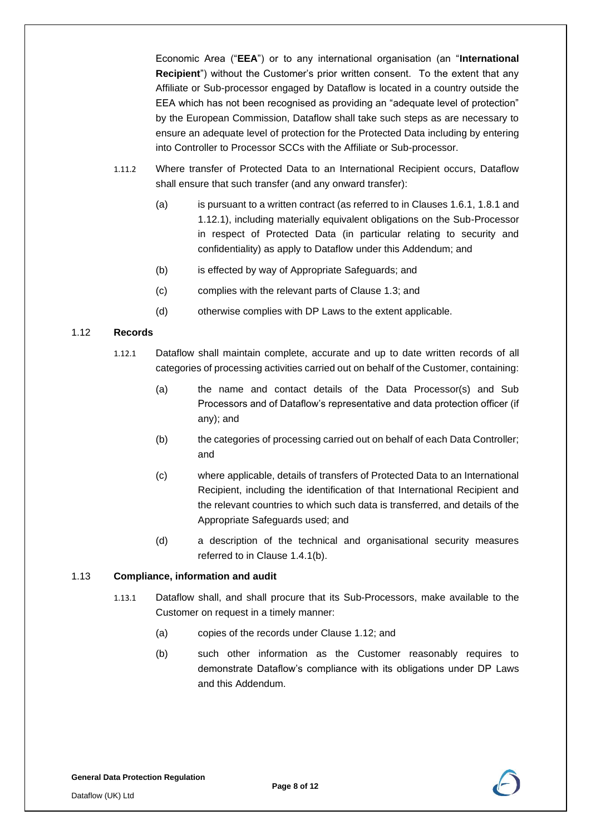Economic Area ("**EEA**") or to any international organisation (an "**International Recipient**") without the Customer's prior written consent. To the extent that any Affiliate or Sub-processor engaged by Dataflow is located in a country outside the EEA which has not been recognised as providing an "adequate level of protection" by the European Commission, Dataflow shall take such steps as are necessary to ensure an adequate level of protection for the Protected Data including by entering into Controller to Processor SCCs with the Affiliate or Sub-processor.

- 1.11.2 Where transfer of Protected Data to an International Recipient occurs, Dataflow shall ensure that such transfer (and any onward transfer):
	- (a) is pursuant to a written contract (as referred to in Clauses 1.6.1, 1.8.1 and 1.12.1), including materially equivalent obligations on the Sub-Processor in respect of Protected Data (in particular relating to security and confidentiality) as apply to Dataflow under this Addendum; and
	- (b) is effected by way of Appropriate Safeguards; and
	- (c) complies with the relevant parts of Clause 1.3; and
	- (d) otherwise complies with DP Laws to the extent applicable.

# 1.12 **Records**

- 1.12.1 Dataflow shall maintain complete, accurate and up to date written records of all categories of processing activities carried out on behalf of the Customer, containing:
	- (a) the name and contact details of the Data Processor(s) and Sub Processors and of Dataflow's representative and data protection officer (if any); and
	- (b) the categories of processing carried out on behalf of each Data Controller; and
	- (c) where applicable, details of transfers of Protected Data to an International Recipient, including the identification of that International Recipient and the relevant countries to which such data is transferred, and details of the Appropriate Safeguards used; and
	- (d) a description of the technical and organisational security measures referred to in Clause 1.4.1(b).

#### 1.13 **Compliance, information and audit**

- 1.13.1 Dataflow shall, and shall procure that its Sub-Processors, make available to the Customer on request in a timely manner:
	- (a) copies of the records under Clause 1.12; and
	- (b) such other information as the Customer reasonably requires to demonstrate Dataflow's compliance with its obligations under DP Laws and this Addendum.

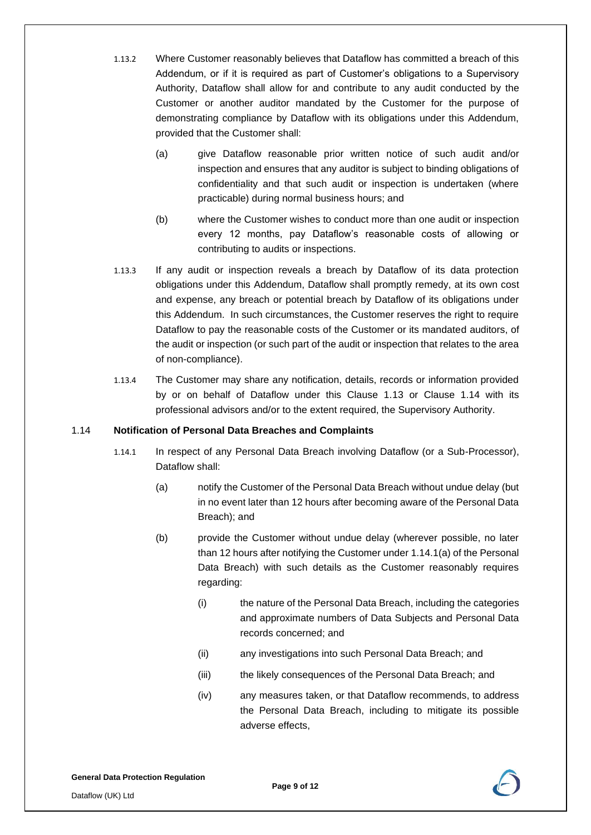- 1.13.2 Where Customer reasonably believes that Dataflow has committed a breach of this Addendum, or if it is required as part of Customer's obligations to a Supervisory Authority, Dataflow shall allow for and contribute to any audit conducted by the Customer or another auditor mandated by the Customer for the purpose of demonstrating compliance by Dataflow with its obligations under this Addendum, provided that the Customer shall:
	- (a) give Dataflow reasonable prior written notice of such audit and/or inspection and ensures that any auditor is subject to binding obligations of confidentiality and that such audit or inspection is undertaken (where practicable) during normal business hours; and
	- (b) where the Customer wishes to conduct more than one audit or inspection every 12 months, pay Dataflow's reasonable costs of allowing or contributing to audits or inspections.
- 1.13.3 If any audit or inspection reveals a breach by Dataflow of its data protection obligations under this Addendum, Dataflow shall promptly remedy, at its own cost and expense, any breach or potential breach by Dataflow of its obligations under this Addendum. In such circumstances, the Customer reserves the right to require Dataflow to pay the reasonable costs of the Customer or its mandated auditors, of the audit or inspection (or such part of the audit or inspection that relates to the area of non-compliance).
- 1.13.4 The Customer may share any notification, details, records or information provided by or on behalf of Dataflow under this Clause 1.13 or Clause 1.14 with its professional advisors and/or to the extent required, the Supervisory Authority.

#### 1.14 **Notification of Personal Data Breaches and Complaints**

- 1.14.1 In respect of any Personal Data Breach involving Dataflow (or a Sub-Processor), Dataflow shall:
	- (a) notify the Customer of the Personal Data Breach without undue delay (but in no event later than 12 hours after becoming aware of the Personal Data Breach); and
	- (b) provide the Customer without undue delay (wherever possible, no later than 12 hours after notifying the Customer under 1.14.1(a) of the Personal Data Breach) with such details as the Customer reasonably requires regarding:
		- (i) the nature of the Personal Data Breach, including the categories and approximate numbers of Data Subjects and Personal Data records concerned; and
		- (ii) any investigations into such Personal Data Breach; and
		- (iii) the likely consequences of the Personal Data Breach; and
		- (iv) any measures taken, or that Dataflow recommends, to address the Personal Data Breach, including to mitigate its possible adverse effects,

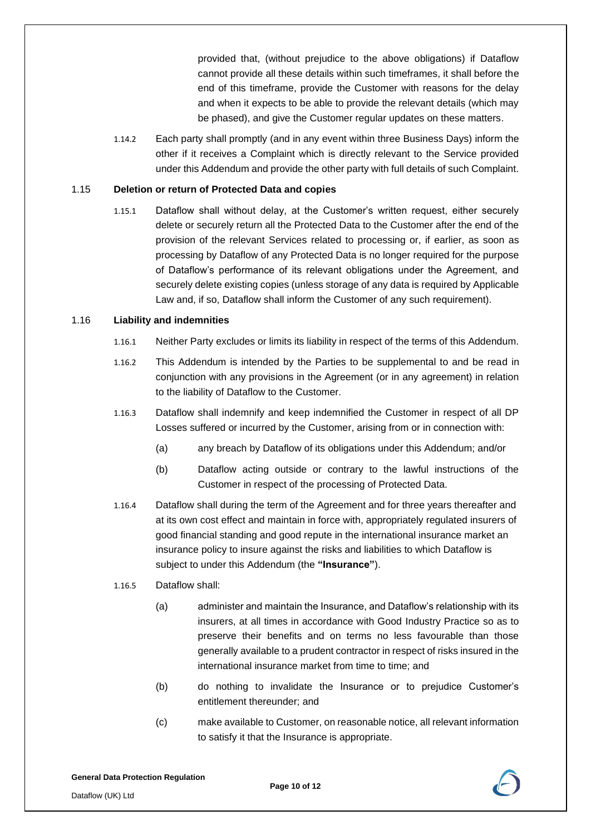provided that, (without prejudice to the above obligations) if Dataflow cannot provide all these details within such timeframes, it shall before the end of this timeframe, provide the Customer with reasons for the delay and when it expects to be able to provide the relevant details (which may be phased), and give the Customer regular updates on these matters.

1.14.2 Each party shall promptly (and in any event within three Business Days) inform the other if it receives a Complaint which is directly relevant to the Service provided under this Addendum and provide the other party with full details of such Complaint.

#### 1.15 **Deletion or return of Protected Data and copies**

1.15.1 Dataflow shall without delay, at the Customer's written request, either securely delete or securely return all the Protected Data to the Customer after the end of the provision of the relevant Services related to processing or, if earlier, as soon as processing by Dataflow of any Protected Data is no longer required for the purpose of Dataflow's performance of its relevant obligations under the Agreement, and securely delete existing copies (unless storage of any data is required by Applicable Law and, if so, Dataflow shall inform the Customer of any such requirement).

# 1.16 **Liability and indemnities**

- 1.16.1 Neither Party excludes or limits its liability in respect of the terms of this Addendum.
- 1.16.2 This Addendum is intended by the Parties to be supplemental to and be read in conjunction with any provisions in the Agreement (or in any agreement) in relation to the liability of Dataflow to the Customer.
- 1.16.3 Dataflow shall indemnify and keep indemnified the Customer in respect of all DP Losses suffered or incurred by the Customer, arising from or in connection with:
	- (a) any breach by Dataflow of its obligations under this Addendum; and/or
	- (b) Dataflow acting outside or contrary to the lawful instructions of the Customer in respect of the processing of Protected Data.
- 1.16.4 Dataflow shall during the term of the Agreement and for three years thereafter and at its own cost effect and maintain in force with, appropriately regulated insurers of good financial standing and good repute in the international insurance market an insurance policy to insure against the risks and liabilities to which Dataflow is subject to under this Addendum (the **"Insurance"**).
- 1.16.5 Dataflow shall:
	- (a) administer and maintain the Insurance, and Dataflow's relationship with its insurers, at all times in accordance with Good Industry Practice so as to preserve their benefits and on terms no less favourable than those generally available to a prudent contractor in respect of risks insured in the international insurance market from time to time; and
	- (b) do nothing to invalidate the Insurance or to prejudice Customer's entitlement thereunder; and
	- (c) make available to Customer, on reasonable notice, all relevant information to satisfy it that the Insurance is appropriate.

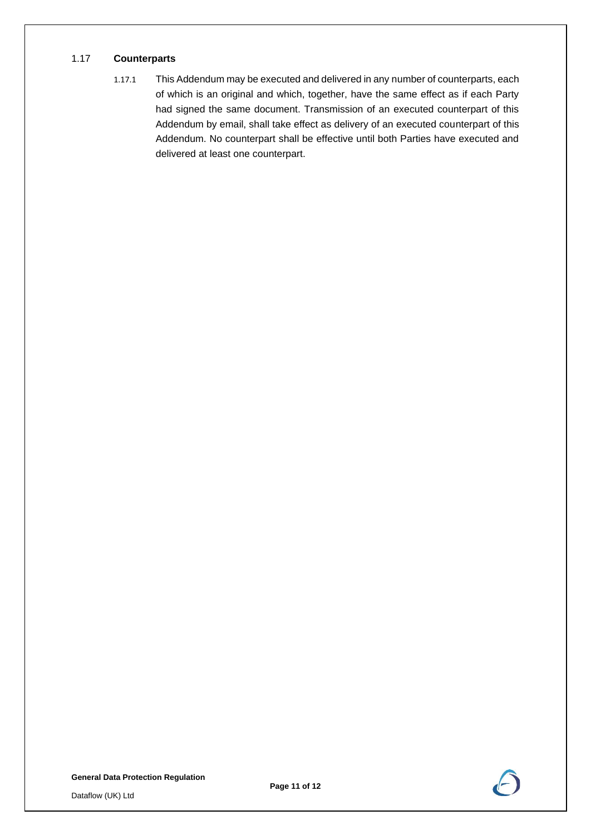#### 1.17 **Counterparts**

1.17.1 This Addendum may be executed and delivered in any number of counterparts, each of which is an original and which, together, have the same effect as if each Party had signed the same document. Transmission of an executed counterpart of this Addendum by email, shall take effect as delivery of an executed counterpart of this Addendum. No counterpart shall be effective until both Parties have executed and delivered at least one counterpart.

**General Data Protection Regulation**

Dataflow (UK) Ltd